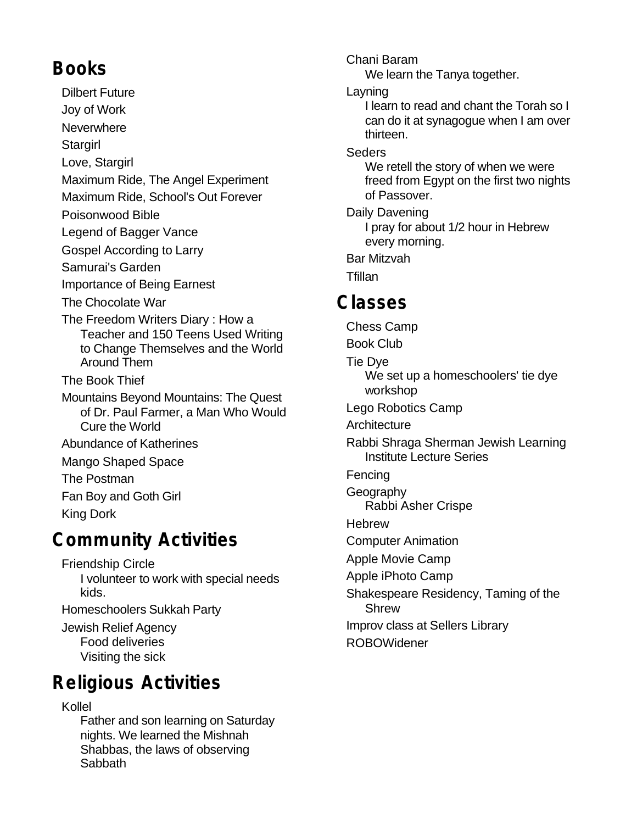## **Books**

Dilbert Future Joy of Work **Neverwhere Stargirl** Love, Stargirl Maximum Ride, The Angel Experiment Maximum Ride, School's Out Forever Poisonwood Bible Legend of Bagger Vance Gospel According to Larry Samurai's Garden Importance of Being Earnest

- The Chocolate War
- The Freedom Writers Diary : How a Teacher and 150 Teens Used Writing to Change Themselves and the World Around Them
- The Book Thief
- Mountains Beyond Mountains: The Quest of Dr. Paul Farmer, a Man Who Would Cure the World
- Abundance of Katherines
- Mango Shaped Space

The Postman

Fan Boy and Goth Girl King Dork

#### **Community Activities**

Friendship Circle I volunteer to work with special needs kids.

Homeschoolers Sukkah Party

Jewish Relief Agency Food deliveries Visiting the sick

### **Religious Activities**

#### Kollel

Father and son learning on Saturday nights. We learned the Mishnah Shabbas, the laws of observing **Sabbath** 

Layning I learn to read and chant the Torah so I can do it at synagogue when I am over thirteen. **Seders** We retell the story of when we were freed from Egypt on the first two nights of Passover. Daily Davening I pray for about 1/2 hour in Hebrew every morning. Bar Mitzvah **Tfillan Classes** Chess Camp Book Club Tie Dye We set up a homeschoolers' tie dye workshop Lego Robotics Camp **Architecture** Rabbi Shraga Sherman Jewish Learning Institute Lecture Series Fencing **Geography** Rabbi Asher Crispe **Hebrew** Computer Animation Apple Movie Camp Apple iPhoto Camp Shakespeare Residency, Taming of the Shrew Improv class at Sellers Library ROBOWidener

Chani Baram

We learn the Tanya together.